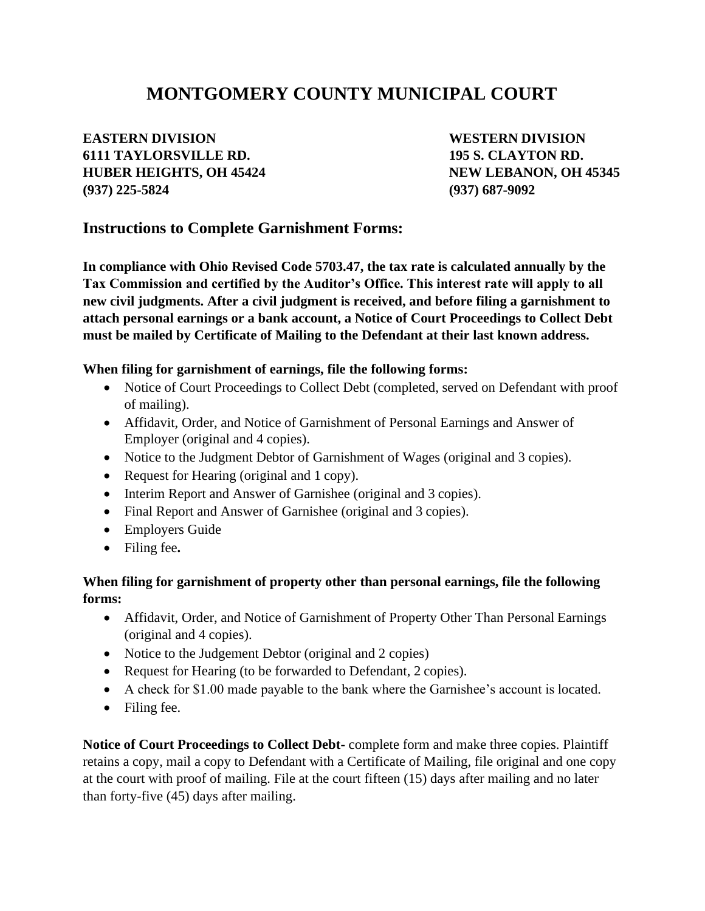# **MONTGOMERY COUNTY MUNICIPAL COURT**

## **EASTERN DIVISION WESTERN DIVISION 6111 TAYLORSVILLE RD. 195 S. CLAYTON RD. HUBER HEIGHTS, OH 45424 NEW LEBANON, OH 45345 (937) 225-5824 (937) 687-9092**

## **Instructions to Complete Garnishment Forms:**

**In compliance with Ohio Revised Code 5703.47, the tax rate is calculated annually by the Tax Commission and certified by the Auditor's Office. This interest rate will apply to all new civil judgments. After a civil judgment is received, and before filing a garnishment to attach personal earnings or a bank account, a Notice of Court Proceedings to Collect Debt must be mailed by Certificate of Mailing to the Defendant at their last known address.**

#### **When filing for garnishment of earnings, file the following forms:**

- Notice of Court Proceedings to Collect Debt (completed, served on Defendant with proof of mailing).
- Affidavit, Order, and Notice of Garnishment of Personal Earnings and Answer of Employer (original and 4 copies).
- Notice to the Judgment Debtor of Garnishment of Wages (original and 3 copies).
- Request for Hearing (original and 1 copy).
- Interim Report and Answer of Garnishee (original and 3 copies).
- Final Report and Answer of Garnishee (original and 3 copies).
- Employers Guide
- Filing fee**.**

#### **When filing for garnishment of property other than personal earnings, file the following forms:**

- Affidavit, Order, and Notice of Garnishment of Property Other Than Personal Earnings (original and 4 copies).
- Notice to the Judgement Debtor (original and 2 copies)
- Request for Hearing (to be forwarded to Defendant, 2 copies).
- A check for \$1.00 made payable to the bank where the Garnishee's account is located.
- Filing fee.

**Notice of Court Proceedings to Collect Debt-** complete form and make three copies. Plaintiff retains a copy, mail a copy to Defendant with a Certificate of Mailing, file original and one copy at the court with proof of mailing. File at the court fifteen (15) days after mailing and no later than forty-five (45) days after mailing.